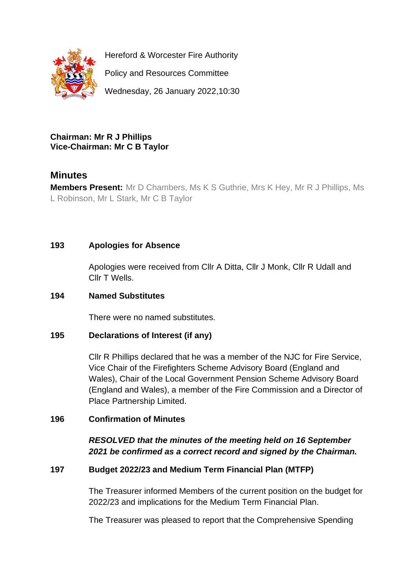

Hereford & Worcester Fire Authority

Policy and Resources Committee

Wednesday, 26 January 2022,10:30

#### **Chairman: Mr R J Phillips Vice-Chairman: Mr C B Taylor**

# **Minutes**

**Members Present:** Mr D Chambers, Ms K S Guthrie, Mrs K Hey, Mr R J Phillips, Ms L Robinson, Mr L Stark, Mr C B Taylor

# **193 Apologies for Absence**

Apologies were received from Cllr A Ditta, Cllr J Monk, Cllr R Udall and Cllr T Wells.

# **194 Named Substitutes**

There were no named substitutes.

# **195 Declarations of Interest (if any)**

Cllr R Phillips declared that he was a member of the NJC for Fire Service, Vice Chair of the Firefighters Scheme Advisory Board (England and Wales), Chair of the Local Government Pension Scheme Advisory Board (England and Wales), a member of the Fire Commission and a Director of Place Partnership Limited.

# **196 Confirmation of Minutes**

*RESOLVED that the minutes of the meeting held on 16 September 2021 be confirmed as a correct record and signed by the Chairman.*

# **197 Budget 2022/23 and Medium Term Financial Plan (MTFP)**

The Treasurer informed Members of the current position on the budget for 2022/23 and implications for the Medium Term Financial Plan.

The Treasurer was pleased to report that the Comprehensive Spending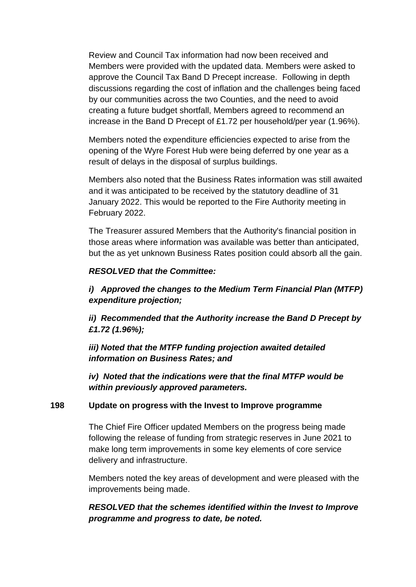Review and Council Tax information had now been received and Members were provided with the updated data. Members were asked to approve the Council Tax Band D Precept increase. Following in depth discussions regarding the cost of inflation and the challenges being faced by our communities across the two Counties, and the need to avoid creating a future budget shortfall, Members agreed to recommend an increase in the Band D Precept of £1.72 per household/per year (1.96%).

Members noted the expenditure efficiencies expected to arise from the opening of the Wyre Forest Hub were being deferred by one year as a result of delays in the disposal of surplus buildings.

Members also noted that the Business Rates information was still awaited and it was anticipated to be received by the statutory deadline of 31 January 2022. This would be reported to the Fire Authority meeting in February 2022.

The Treasurer assured Members that the Authority's financial position in those areas where information was available was better than anticipated, but the as yet unknown Business Rates position could absorb all the gain.

#### *RESOLVED that the Committee:*

*i) Approved the changes to the Medium Term Financial Plan (MTFP) expenditure projection;*

*ii) Recommended that the Authority increase the Band D Precept by £1.72 (1.96%);*

*iii) Noted that the MTFP funding projection awaited detailed information on Business Rates; and* 

*iv) Noted that the indications were that the final MTFP would be within previously approved parameters.*

#### **198 Update on progress with the Invest to Improve programme**

The Chief Fire Officer updated Members on the progress being made following the release of funding from strategic reserves in June 2021 to make long term improvements in some key elements of core service delivery and infrastructure.

Members noted the key areas of development and were pleased with the improvements being made.

*RESOLVED that the schemes identified within the Invest to Improve programme and progress to date, be noted.*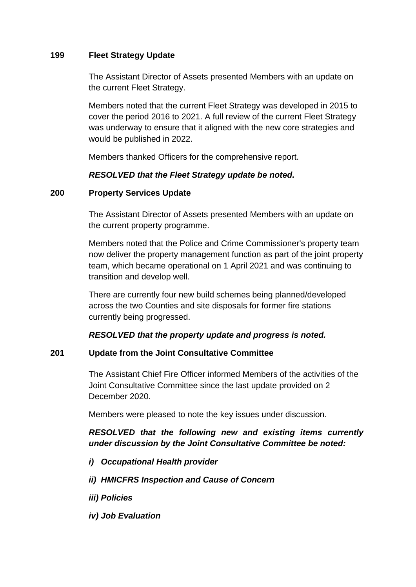#### **199 Fleet Strategy Update**

The Assistant Director of Assets presented Members with an update on the current Fleet Strategy.

Members noted that the current Fleet Strategy was developed in 2015 to cover the period 2016 to 2021. A full review of the current Fleet Strategy was underway to ensure that it aligned with the new core strategies and would be published in 2022.

Members thanked Officers for the comprehensive report.

#### *RESOLVED that the Fleet Strategy update be noted.*

#### **200 Property Services Update**

The Assistant Director of Assets presented Members with an update on the current property programme.

Members noted that the Police and Crime Commissioner's property team now deliver the property management function as part of the joint property team, which became operational on 1 April 2021 and was continuing to transition and develop well.

There are currently four new build schemes being planned/developed across the two Counties and site disposals for former fire stations currently being progressed.

# *RESOLVED that the property update and progress is noted.*

# **201 Update from the Joint Consultative Committee**

The Assistant Chief Fire Officer informed Members of the activities of the Joint Consultative Committee since the last update provided on 2 December 2020.

Members were pleased to note the key issues under discussion.

# *RESOLVED that the following new and existing items currently under discussion by the Joint Consultative Committee be noted:*

- *i) Occupational Health provider*
- *ii) HMICFRS Inspection and Cause of Concern*
- *iii) Policies*
- *iv) Job Evaluation*